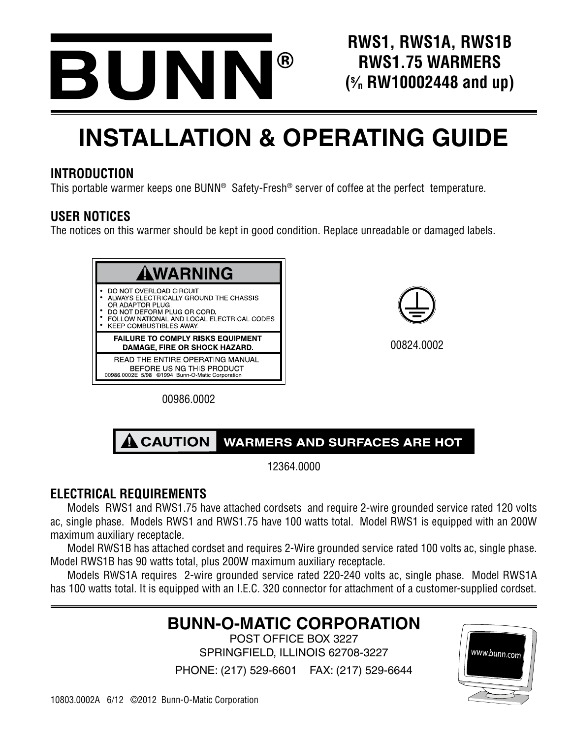

**RWS1, RWS1A, RWS1B RWS1.75 WARMERS (s ⁄n RW10002448 and up)**

# **INSTALLATION & OPERATING GUIDE**

# **INTRODUCTION**

This portable warmer keeps one BUNN® Safety-Fresh® server of coffee at the perfect temperature.

# **USER NOTICES**

The notices on this warmer should be kept in good condition. Replace unreadable or damaged labels.



00824.0002

00986.0002



12364.0000

# **ELECTRICAL REQUIREMENTS**

Models RWS1 and RWS1.75 have attached cordsets and require 2-wire grounded service rated 120 volts ac, single phase. Models RWS1 and RWS1.75 have 100 watts total. Model RWS1 is equipped with an 200W maximum auxiliary receptacle.

Model RWS1B has attached cordset and requires 2-Wire grounded service rated 100 volts ac, single phase. Model RWS1B has 90 watts total, plus 200W maximum auxiliary receptacle.

Models RWS1A requires 2-wire grounded service rated 220-240 volts ac, single phase. Model RWS1A has 100 watts total. It is equipped with an I.E.C. 320 connector for attachment of a customer-supplied cordset.

# **BUNN-O-MATIC CORPORATION**

POST OFFICE BOX 3227 SPRINGFIELD, ILLINOIS 62708-3227

PHONE: (217) 529-6601 FAX: (217) 529-6644

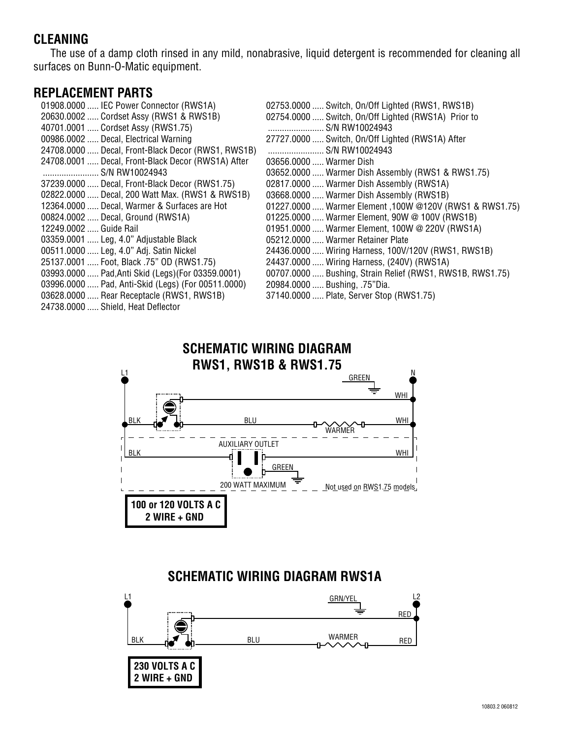# **CLEANING**

The use of a damp cloth rinsed in any mild, nonabrasive, liquid detergent is recommended for cleaning all surfaces on Bunn-O-Matic equipment.

#### **REPLACEMENT PARTS**

| 01908.0000  IEC Power Connector (RWS1A)            | $02753.0000$ |
|----------------------------------------------------|--------------|
| 20630.0002  Cordset Assy (RWS1 & RWS1B)            | $02754.0000$ |
| 40701.0001  Cordset Assy (RWS1.75)                 |              |
| 00986.0002  Decal, Electrical Warning              | 27727.0000   |
| 24708.0000  Decal, Front-Black Decor (RWS1, RWS1B) |              |
| 24708.0001  Decal, Front-Black Decor (RWS1A) After | 03656.0000   |
| S/N RW10024943                                     | $03652.0000$ |
| 37239.0000  Decal, Front-Black Decor (RWS1.75)     | 02817.0000   |
| 02822.0000  Decal, 200 Watt Max. (RWS1 & RWS1B)    | 03668.0000   |
| 12364.0000  Decal, Warmer & Surfaces are Hot       | $01227.0000$ |
| 00824.0002  Decal, Ground (RWS1A)                  | $01225.0000$ |
| 12249.0002  Guide Rail                             | $01951.0000$ |
| 03359.0001  Leg, 4.0" Adjustable Black             | 05212.0000   |
| 00511.0000  Leg, 4.0" Adj. Satin Nickel            | 24436.0000   |
| 25137.0001  Foot, Black .75" OD (RWS1.75)          | 24437.0000   |
| 03993.0000  Pad, Anti Skid (Legs) (For 03359.0001) | 00707.0000   |
| 03996.0000  Pad, Anti-Skid (Legs) (For 00511.0000) | 20984.0000   |
| 03628.0000  Rear Receptacle (RWS1, RWS1B)          | $37140.0000$ |
| 24738.0000  Shield, Heat Deflector                 |              |

Switch, On/Off Lighted (RWS1, RWS1B) Switch, On/Off Lighted (RWS1A) Prior to S/N RW10024943 Switch, On/Off Lighted (RWS1A) After S/N RW10024943 Warmer Dish Warmer Dish Assembly (RWS1 & RWS1.75) Warmer Dish Assembly (RWS1A) Warmer Dish Assembly (RWS1B) 01227.0000 ..... Warmer Element ,100W @120V (RWS1 & RWS1.75) Warmer Element, 90W @ 100V (RWS1B) Warmer Element, 100W @ 220V (RWS1A) Warmer Retainer Plate Wiring Harness, 100V/120V (RWS1, RWS1B) Wiring Harness, (240V) (RWS1A) Bushing, Strain Relief (RWS1, RWS1B, RWS1.75) Bushing, .75"Dia. Plate, Server Stop (RWS1.75)

#### L1 BLU WARMER **SCHEMATIC WIRING DIAGRAM RWS1, RWS1B & RWS1.75 GREEN** WHI BLK WHI **100 or 120 VOLTS A C 2 WIRE + GND**  AUXILIARY OUTLET 200 WATT MAXIMUM  $\overline{F}$  Not used on RWS1.75 models GREEN BLK WHI

### **SCHEMATIC WIRING DIAGRAM RWS1A**